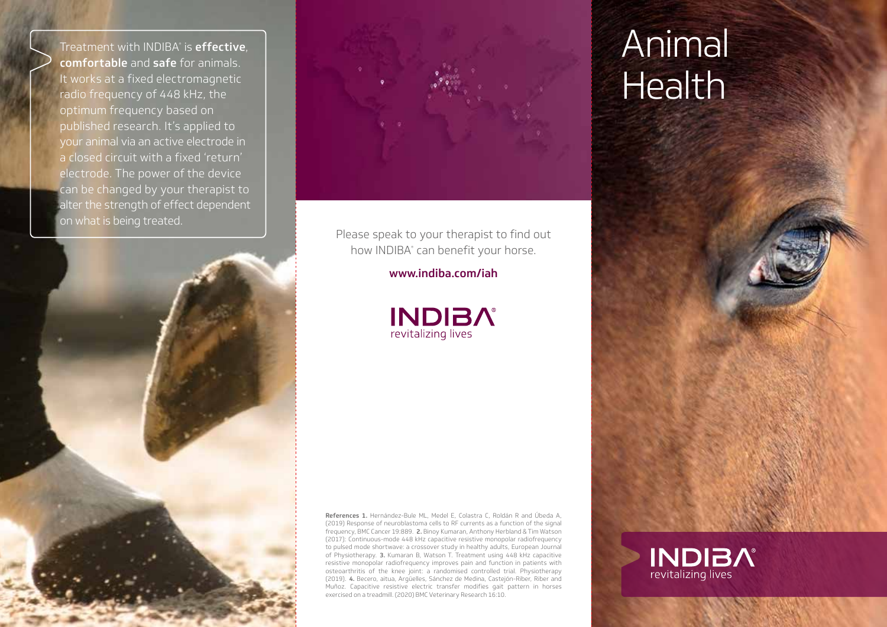Treatment with INDIBA® is **effective**, comfortable and safe for animals. It works at a fixed electromagnetic radio frequency of 448 kHz, the optimum frequency based on published research. It's applied to your animal via an active electrode in a closed circuit with a fixed 'return' electrode. The power of the device can be changed by your therapist to alter the strength of effect dependent on what is being treated.





Please speak to your therapist to find out how INDIBA® can benefit your horse.

www.indiba.com/iah



References 1. Hernández-Bule ML, Medel E, Colastra C, Roldán R and Úbeda A, (2019) Response of neuroblastoma cells to RF currents as a function of the signal frequency, BMC Cancer 19:889. 2. Binoy Kumaran, Anthony Herbland & Tim Watson (2017): Continuous-mode 448 kHz capacitive resistive monopolar radiofrequency to pulsed mode shortwave: a crossover study in healthy adults, European Journal of Physiotherapy. 3. Kumaran B, Watson T. Treatment using 448 kHz capacitive resistive monopolar radiofrequency improves pain and function in patients with osteoarthritis of the knee joint: a randomised controlled trial. Physiotherapy (2019). 4. Becero, aitua, Argüelles, Sánchez de Medina, Castejón-Riber, Riber and Muñoz. Capacitive resistive electric transfer modifies gait pattern in horses exercised on a treadmill. (2020) BMC Veterinary Research 16:10.

## Animal Health